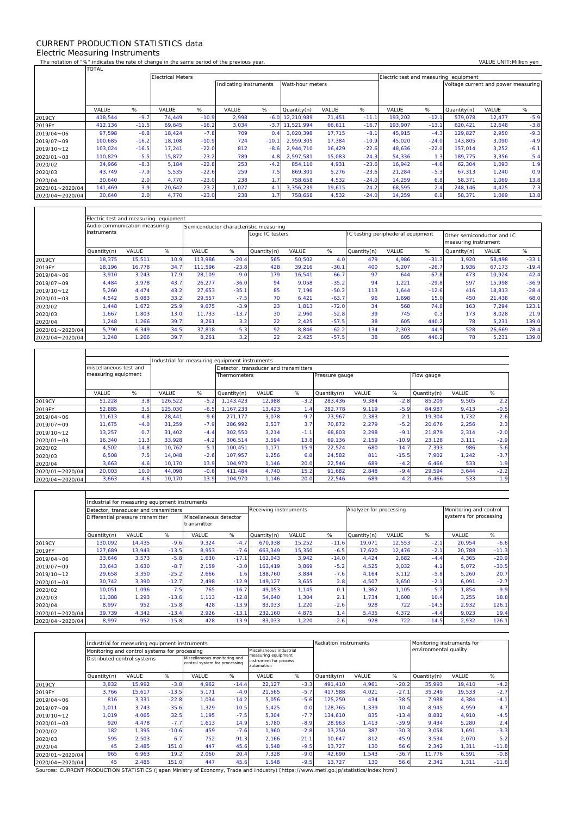## CURRENT PRODUCTION STATISTICS data Electric Measuring Instruments

 $\Gamma$ 

 $\mathbf{r}$ 

 $\overline{\mathsf{T}}$ 

┑

The notation of "%" indicates the rate of change in the same period of the previous year. VALUE UNIT:Million yen<br>TOTAL TOTAL

|                 |         |         | <b>Electrical Meters</b> |         |                        |         |                  |        |         |         |         | Electric test and measuring equipment |        |        |  |  |  |  |
|-----------------|---------|---------|--------------------------|---------|------------------------|---------|------------------|--------|---------|---------|---------|---------------------------------------|--------|--------|--|--|--|--|
|                 |         |         |                          |         | Indicating instruments |         | Watt-hour meters |        |         |         |         | Voltage current and power measuring   |        |        |  |  |  |  |
|                 |         |         |                          |         |                        |         |                  |        |         |         |         |                                       |        |        |  |  |  |  |
|                 | VALUE   | %       | VALUE                    | %       | VALUE                  | %       | Quantity(n)      | VALUE  | %       | VALUE   | %       | Quantity(n)                           | VALUE  | %      |  |  |  |  |
| 2019CY          | 418.544 | $-9.7$  | 74.449                   | $-10.9$ | 2.998                  | $-6.0$  | 12.210.989       | 71,451 | $-11.1$ | 193,202 | $-12.1$ | 579,078                               | 12,477 | $-5.9$ |  |  |  |  |
| 2019FY          | 412,136 | $-11.5$ | 69,645                   | $-16.2$ | 3.034                  | $-3.7$  | 11.521.994       | 66,611 | $-16.7$ | 193.907 | $-13.1$ | 620.421                               | 12,648 | $-3.8$ |  |  |  |  |
| 2019/04~06      | 97,598  | $-6.8$  | 18,424                   | $-7.8$  | 709                    | 0.4     | 3.020.398        | 17,715 | $-8.1$  | 45,915  | $-4.3$  | 129.827                               | 2,950  | $-9.3$ |  |  |  |  |
| 2019/07~09      | 100.685 | $-16.2$ | 18.108                   | $-10.9$ | 724                    | $-10.1$ | 2.959.305        | 17,384 | $-10.9$ | 45.020  | $-24.0$ | 143,805                               | 3,090  | $-4.9$ |  |  |  |  |
| 2019/10~12      | 103.024 | $-16.5$ | 17.241                   | $-22.0$ | 812                    | $-8.6$  | 2.944.710        | 16,429 | $-22.6$ | 48.636  | $-22.0$ | 157.014                               | 3,252  | $-6.1$ |  |  |  |  |
| 2020/01~03      | 110,829 | $-5.5$  | 15,872                   | $-23.2$ | 789                    | 4.8     | 2,597,581        | 15,083 | $-24.3$ | 54,336  | 1.3     | 189,775                               | 3,356  | 5.4    |  |  |  |  |
| 2020/02         | 34,966  | $-8.3$  | 5,184                    | $-22.8$ | 253                    | $-4.2$  | 854.110          | 4,931  | $-23.6$ | 16,942  | $-4.6$  | 62,304                                | 1,093  | 1.9    |  |  |  |  |
| 2020/03         | 43,749  | $-7.9$  | 5,535                    | $-22.6$ | 259                    | 7.5     | 869,301          | 5,276  | $-23.6$ | 21,284  | $-5.3$  | 67,313                                | 1,240  | 0.9    |  |  |  |  |
| 2020/04         | 30,640  | 2.0     | 4.770                    | $-23.0$ | 238                    |         | 758,658          | 4,532  | $-24.0$ | 14,259  | 6.8     | 58,371                                | 1,069  | 13.8   |  |  |  |  |
| 2020/01~2020/04 | 141,469 | $-3.9$  | 20,642                   | $-23.2$ | 1,027                  | 4.7     | 3,356,239        | 19,615 | $-24.2$ | 68,595  | 2.4     | 248,146                               | 4,425  | 7.3    |  |  |  |  |
| 2020/04~2020/04 | 30,640  | 2.0     | 4.770                    | $-23.0$ | 238                    |         | 758,658          | 4,532  | $-24.0$ | 14,259  | 6.8     | 58,371                                | 1,069  | 13.8   |  |  |  |  |

|                 | Electric test and measuring equipment |        |      |                                        |         |                  |        |         |                                   |       |         |                                                    |        |         |  |  |
|-----------------|---------------------------------------|--------|------|----------------------------------------|---------|------------------|--------|---------|-----------------------------------|-------|---------|----------------------------------------------------|--------|---------|--|--|
|                 | Audio communication measuring         |        |      | Semiconductor characteristic measuring |         |                  |        |         |                                   |       |         |                                                    |        |         |  |  |
|                 | instruments                           |        |      |                                        |         | Logic IC testers |        |         | IC testing periphederal equipment |       |         | Other semiconductor and IC<br>measuring instrument |        |         |  |  |
|                 | Quantity(n)                           | VALUE  | %    | VALUE                                  | %       | Quantity(n)      | VALUE  | %       | Quantity(n)                       | VALUE | %       | Quantity(n)                                        | VALUE  | %       |  |  |
| 2019CY          | 18,375                                | 15,511 | 10.9 | 113,986                                | $-20.4$ | 565              | 50,502 | 4.0     | 479                               | 4,986 | $-31.3$ | 1,920                                              | 58,498 | $-33.1$ |  |  |
| 2019FY          | 18.196                                | 16.778 | 34.7 | 111.596                                | $-23.8$ | 428              | 39.216 | $-30.1$ | 400                               | 5,207 | $-26.7$ | 1.936                                              | 67,173 | $-19.4$ |  |  |
| 2019/04~06      | 3.910                                 | 3.243  | 17.9 | 28,109                                 | $-9.0$  | 179              | 16.541 | 66.7    | 97                                | 644   | $-67.8$ | 473                                                | 10.924 | $-42.4$ |  |  |
| 2019/07~09      | 4.484                                 | 3.978  | 43.7 | 26.277                                 | $-36.0$ | 94               | 9.058  | $-35.2$ | 94                                | 1.221 | $-29.8$ | 597                                                | 15.998 | $-36.9$ |  |  |
| 2019/10~12      | 5.260                                 | 4.474  | 43.2 | 27.653                                 | $-35.1$ | 85               | 7.196  | $-50.2$ | 113                               | 1.644 | $-12.6$ | 416                                                | 18.813 | $-28.4$ |  |  |
| 2020/01~03      | 4,542                                 | 5.083  | 33.2 | 29.557                                 | $-7.5$  | 70               | 6.421  | $-63.7$ | 96                                | 1,698 | 15.0    | 450                                                | 21,438 | 68.0    |  |  |
| 2020/02         | 1.448                                 | 1,672  | 25.9 | 9,675                                  | $-3.9$  | 23               | 1.813  | $-72.0$ | 34                                | 568   | 74.8    | 163                                                | 7.294  | 123.1   |  |  |
| 2020/03         | 1.667                                 | 1.803  | 13.0 | 11.733                                 | $-13.7$ | 30               | 2.960  | $-52.8$ | 39                                | 745   | 0.3     | 173                                                | 8.028  | 21.9    |  |  |
| 2020/04         | .248                                  | 1,266  | 39.7 | 8,261                                  | 3.2     | 22               | 2,425  | $-57.5$ | 38                                | 605   | 440.2   | 78                                                 | 5,231  | 139.0   |  |  |
| 2020/01~2020/04 | 5,790                                 | 6,349  | 34.5 | 37,818                                 | $-5.3$  | 92               | 8,846  | $-62.2$ | 134                               | 2,303 | 44.9    | 528                                                | 26,669 | 78.4    |  |  |
| 2020/04~2020/04 | 1,248                                 | 1,266  | 39.7 | 8,261                                  | 3.2     | 22               | 2,425  | $-57.5$ | 38                                | 605   | 440.2   | 78                                                 | 5,231  | 139.0   |  |  |

|                 |                        |         | Industrial for measuring equipment instruments |        |                                       |        |              |                |       |         |             |       |        |
|-----------------|------------------------|---------|------------------------------------------------|--------|---------------------------------------|--------|--------------|----------------|-------|---------|-------------|-------|--------|
|                 | miscellaneous test and |         |                                                |        | Detector, transducer and transmitters |        |              |                |       |         |             |       |        |
|                 | measuring equipment    |         |                                                |        | <b>Thermometers</b>                   |        |              | Pressure gauge |       |         | Flow gauge  |       |        |
|                 | VALUE                  | %       | VALUE                                          | %      | Quantity(n)                           | VALUE  | %            | Quantity(n)    | VALUE | %       | Quantity(n) | VALUE | %      |
| 2019CY          | 51,228                 | 3.8     | 126,522                                        | $-5.2$ | 1.143.423                             | 12,988 | $-3.2$       | 283,436        | 9,384 | $-2.8$  | 85.209      | 9,505 | 2.2    |
| 2019FY          | 52,885                 | 3.5     | 125,030                                        | $-6.5$ | 1.167.233                             | 13,423 | $\mathbf{A}$ | 282,778        | 9,119 | $-5.9$  | 84.987      | 9,413 | $-0.5$ |
| 2019/04~06      | 11.613                 | 4.8     | 28.441                                         | $-9.6$ | 271.177                               | 3,078  | $-9.7$       | 73.967         | 2,383 | 2.1     | 19.304      | 1.732 | 2.6    |
| 2019/07~09      | 11.675                 | $-4.0$  | 31.259                                         | $-7.9$ | 286.992                               | 3,537  | 3.7          | 70.872         | 2,279 | $-5.2$  | 20.676      | 2,256 | 2.3    |
| 2019/10~12      | 13,257                 | 0.7     | 31.402                                         | $-4.4$ | 302.550                               | 3,214  | $-1.1$       | 68,803         | 2,298 | $-9.1$  | 21.879      | 2,314 | $-2.0$ |
| 2020/01~03      | 16,340                 | 11.3    | 33,928                                         | $-4.2$ | 306,514                               | 3,594  | 13.8         | 69,136         | 2,159 | $-10.9$ | 23,128      | 3,111 | $-2.9$ |
| 2020/02         | 4.502                  | $-14.8$ | 10.762                                         | $-5.7$ | 100.451                               | 1.171  | 15.9         | 22.524         | 680   | $-14.7$ | 7.393       | 986   | $-5.6$ |
| 2020/03         | 6,508                  | 7.5     | 14.048                                         | $-2.6$ | 107.957                               | 1.256  | 6.8          | 24,582         | 811   | $-15.5$ | 7.902       | 1,242 | $-3.7$ |
| 2020/04         | 3,663                  | 4.6     | 10.170                                         | 13.9   | 104.970                               | 1.146  | 20.0         | 22,546         | 689   | $-4.2$  | 6,466       | 533   | 1.9    |
| 2020/01~2020/04 | 20,003                 | 10.0    | 44,098                                         | $-0.6$ | 411.484                               | 4,740  | 15.2         | 91,682         | 2,848 | $-9.4$  | 29,594      | 3,644 | $-2.2$ |
| 2020/04~2020/04 | 3,663                  | 4.6     | 10.170                                         | 13.9   | 104,970                               | 1,146  | 20.0         | 22,546         | 689   | $-4.2$  | 6,466       | 533   | 1.9    |

|                 | Industrial for measuring equipment instruments |                                       |         |                                       |         |                        |        |         |                         |        |                        |                        |         |  |
|-----------------|------------------------------------------------|---------------------------------------|---------|---------------------------------------|---------|------------------------|--------|---------|-------------------------|--------|------------------------|------------------------|---------|--|
|                 |                                                | Detector, transducer and transmitters |         |                                       |         | Receiving instrruments |        |         | Analyzer for processing |        |                        | Monitoring and control |         |  |
|                 | Differential pressure transmitter              |                                       |         | Miscellaneous detector<br>transmitter |         |                        |        |         |                         |        | systems for processing |                        |         |  |
|                 | Quantity(n)                                    | <b>VALUE</b>                          | %       | VALUE                                 | %       | Quantity(n)            | VALUE  | %       | Quantity(n)             | VALUE  | %                      | VALUE                  | %       |  |
| 2019CY          | 130.092                                        | 14,435                                | $-9.6$  | 9,324                                 | $-4.7$  | 670.938                | 15,252 | $-11.6$ | 19,071                  | 12,553 | $-2.1$                 | 20,954                 | $-6.6$  |  |
| 2019FY          | 127,689                                        | 13,943                                | $-13.5$ | 8,953                                 | $-7.6$  | 663,349                | 15,350 | $-6.5$  | 17,620                  | 12,476 | $-2.7$                 | 20,788                 | $-11.3$ |  |
| 2019/04~06      | 33,646                                         | 3,573                                 | $-5.8$  | 1,630                                 | $-17.1$ | 162,043                | 3,942  | $-14.0$ | 4,424                   | 2,682  | $-4.4$                 | 4,365                  | $-20.9$ |  |
| 2019/07~09      | 33,643                                         | 3,630                                 | $-8.7$  | 2.159                                 | $-3.0$  | 163.419                | 3,869  | $-5.2$  | 4,525                   | 3,032  | 4.1                    | 5,072                  | $-30.5$ |  |
| 2019/10~12      | 29,658                                         | 3,350                                 | $-25.2$ | 2,666                                 | 1.6     | 188.760                | 3,884  | $-7.6$  | 4,164                   | 3,112  | $-5.8$                 | 5,260                  | 20.7    |  |
| 2020/01~03      | 30,742                                         | 3,390                                 | $-12.7$ | 2.498                                 | $-12.9$ | 149.127                | 3,655  | 2.8     | 4,507                   | 3,650  | $-2.1$                 | 6,091                  | $-2.7$  |  |
| 2020/02         | 10,051                                         | 1,096                                 | $-7.5$  | 765                                   | $-16.7$ | 49,053                 | 1,145  | 0.1     | 1,362                   | 1,105  | $-5.7$                 | 1,854                  | $-9.9$  |  |
| 2020/03         | 11,388                                         | 1,293                                 | $-13.6$ | 1.113                                 | $-12.8$ | 54,640                 | 1,304  | 2.1     | 1.734                   | 1,608  | 10.4                   | 3,255                  | 18.8    |  |
| 2020/04         | 8,997                                          | 952                                   | $-15.8$ | 428                                   | $-13.9$ | 83,033                 | 1,220  | $-2.6$  | 928                     | 722    | $-14.5$                | 2,932                  | 126.1   |  |
| 2020/01~2020/04 | 39,739                                         | 4,342                                 | $-13.4$ | 2,926                                 | $-13.1$ | 232,160                | 4,875  | 1.4     | 5,435                   | 4,372  | $-4.4$                 | 9,023                  | 19.4    |  |
| 2020/04~2020/04 | 8,997                                          | 952                                   | $-15.8$ | 428                                   | $-13.9$ | 83,033                 | 1,220  | $-2.6$  | 928                     | 722    | $-14.5$                | 2,932                  | 126.1   |  |

|                 |                             | Industrial for measuring equipment instruments |         |                                                               |         | <b>Radiation instruments</b>                                |         |             | Monitoring instruments for |         |                       |        |         |  |
|-----------------|-----------------------------|------------------------------------------------|---------|---------------------------------------------------------------|---------|-------------------------------------------------------------|---------|-------------|----------------------------|---------|-----------------------|--------|---------|--|
|                 |                             | Monitoring and control systems for processing  |         |                                                               |         | Miscellaneous industrial                                    |         |             |                            |         | environmental quality |        |         |  |
|                 | Distributed control systems |                                                |         | Miscellaneous monitoring and<br>control system for processing |         | measuring equipment<br>instrument for process<br>automation |         |             |                            |         |                       |        |         |  |
|                 | Quantity(n)                 | VALUE                                          | %       | VALUE                                                         | %       | VALUE                                                       | %       | Quantity(n) | VALUE                      | %       | Quantity(n)           | VALUE  | %       |  |
| 2019CY          | 3,832                       | 15,992                                         | $-3.8$  | 4,962                                                         | $-14.4$ | 22,127                                                      | $-3.3$  | 491,410     | 4,961                      | $-20.2$ | 35,993                | 19,410 | $-4.2$  |  |
| 2019FY          | 3.766                       | 15.617                                         | $-13.5$ | 5,171                                                         | $-4.0$  | 21.565                                                      | $-5.7$  | 417.588     | 4,021                      | $-27.1$ | 35.249                | 19,533 | $-2.7$  |  |
| 2019/04~06      | 816                         | 3,331                                          | $-22.8$ | 1.034                                                         | $-14.2$ | 5.056                                                       | $-5.6$  | 125.250     | 434                        | $-38.5$ | 7.988                 | 4,384  | $-4.1$  |  |
| 2019/07~09      | 1.011                       | 3,743                                          | $-35.6$ | 1.329                                                         | $-10.5$ | 5,425                                                       | 0.0     | 128.765     | 1,339                      | $-10.4$ | 8.945                 | 4,959  | $-4.7$  |  |
| 2019/10~12      | 1.019                       | 4,065                                          | 32.5    | 1,195                                                         | $-7.5$  | 5,304                                                       | $-7.7$  | 134,610     | 835                        | $-13.4$ | 8,882                 | 4,910  | $-4.5$  |  |
| 2020/01~03      | 920                         | 4,478                                          | $-7.7$  | 1,613                                                         | 14.9    | 5.780                                                       | $-8.9$  | 28.963      | 1,413                      | $-39.9$ | 9,434                 | 5,280  | 2.4     |  |
| 2020/02         | 182                         | 1,395                                          | $-10.6$ | 459                                                           | $-7.6$  | 1.960                                                       | $-2.8$  | 13,250      | 387                        | $-30.3$ | 3,058                 | 1,691  | $-3.3$  |  |
| 2020/03         | 595                         | 2,503                                          | 6.7     | 752                                                           | 91.3    | 2.166                                                       | $-21.1$ | 10.647      | 812                        | $-45.9$ | 3,534                 | 2,070  | 5.2     |  |
| 2020/04         | 45                          | 2,485                                          | 151.0   | 447                                                           | 45.6    | 1.548                                                       | $-9.5$  | 13.727      | 130                        | 56.6    | 2,342                 | 1,311  | $-11.8$ |  |
| 2020/01~2020/04 | 965                         | 6,963                                          | 19.2    | 2,060                                                         | 20.4    | 7.328                                                       | $-9.0$  | 42,690      | 1,543                      | $-36.7$ | 11.776                | 6,591  | $-0.8$  |  |
| 2020/04~2020/04 | 45                          | 2,485                                          | 151.0   | 447                                                           | 45.6    | .548                                                        | $-9.5$  | 13.727      | 130                        | 56.6    | 2,342                 | 1.311  | $-11.8$ |  |

Sources: CURRENT PRODUCTION STATISTICS (Japan Ministry of Economy, Trade and Industry) 〔https://www.meti.go.jp/statistics/index.html〕